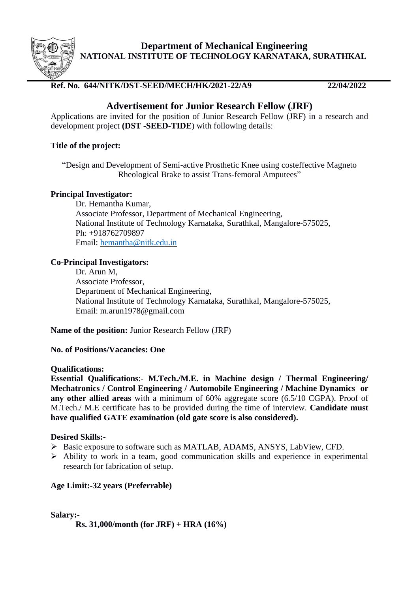

**Department of Mechanical Engineering NATIONAL INSTITUTE OF TECHNOLOGY KARNATAKA, SURATHKAL**

# **Ref. No. 644/NITK/DST-SEED/MECH/HK/2021-22/A9 22/04/2022**

# **Advertisement for Junior Research Fellow (JRF)**

Applications are invited for the position of Junior Research Fellow (JRF) in a research and development project **(DST -SEED-TIDE**) with following details:

## **Title of the project:**

"Design and Development of Semi-active Prosthetic Knee using costeffective Magneto Rheological Brake to assist Trans-femoral Amputees"

## **Principal Investigator:**

Dr. Hemantha Kumar, Associate Professor, Department of Mechanical Engineering, National Institute of Technology Karnataka, Surathkal, Mangalore-575025, Ph: +918762709897 Email: [hemantha@nitk.edu.in](mailto:hemantha@nitk.edu.in)

## **Co-Principal Investigators:**

Dr. Arun M, Associate Professor, Department of Mechanical Engineering, National Institute of Technology Karnataka, Surathkal, Mangalore-575025, Email: m.arun1978@gmail.com

**Name of the position:** Junior Research Fellow (JRF)

## **No. of Positions/Vacancies: One**

## **Qualifications:**

**Essential Qualifications**:- **M.Tech./M.E. in Machine design / Thermal Engineering/ Mechatronics / Control Engineering / Automobile Engineering / Machine Dynamics or any other allied areas** with a minimum of 60% aggregate score (6.5/10 CGPA). Proof of M.Tech./ M.E certificate has to be provided during the time of interview. **Candidate must have qualified GATE examination (old gate score is also considered).**

## **Desired Skills:-**

- ➢ Basic exposure to software such as MATLAB, ADAMS, ANSYS, LabView, CFD.
- ➢ Ability to work in a team, good communication skills and experience in experimental research for fabrication of setup.

# **Age Limit:-32 years (Preferrable)**

**Salary:-**

**Rs. 31,000/month (for JRF) + HRA (16%)**